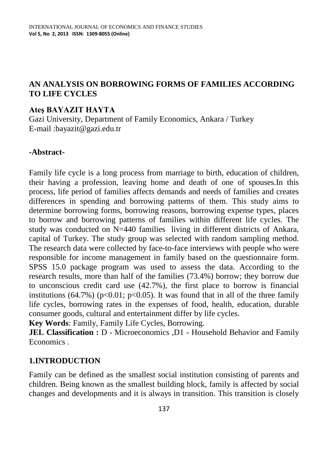# **AN ANALYSIS ON BORROWING FORMS OF FAMILIES ACCORDING TO LIFE CYCLES**

#### **Ateş BAYAZIT HAYTA**

Gazi University, Department of Family Economics, Ankara / Turkey E-mail :bayazit@gazi.edu.tr

#### **-Abstract-**

Family life cycle is a long process from marriage to birth, education of children, their having a profession, leaving home and death of one of spouses.In this process, life period of families affects demands and needs of families and creates differences in spending and borrowing patterns of them. This study aims to determine borrowing forms, borrowing reasons, borrowing expense types, places to borrow and borrowing patterns of families within different life cycles. The study was conducted on N=440 families living in different districts of Ankara, capital of Turkey. The study group was selected with random sampling method. The research data were collected by face-to-face interviews with people who were responsible for income management in family based on the questionnaire form. SPSS 15.0 package program was used to assess the data. According to the research results, more than half of the families (73.4%) borrow; they borrow due to unconscious credit card use (42.7%), the first place to borrow is financial institutions  $(64.7\%)$  (p<0.01; p<0.05). It was found that in all of the three family life cycles, borrowing rates in the expenses of food, health, education, durable consumer goods, cultural and entertainment differ by life cycles.

**Key Words**: Family, Family Life Cycles, Borrowing.

**JEL Classification :** D - Microeconomics ,D1 - Household Behavior and Family Economics .

## **1.INTRODUCTION**

Family can be defined as the smallest social institution consisting of parents and children. Being known as the smallest building block, family is affected by social changes and developments and it is always in transition. This transition is closely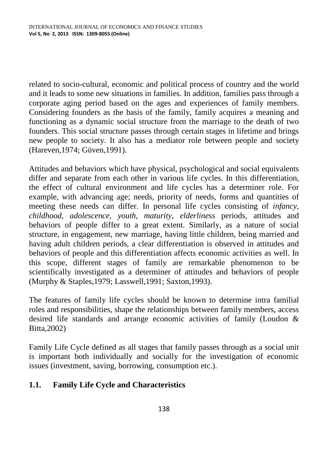related to socio-cultural, economic and political process of country and the world and it leads to some new situations in families. In addition, families pass through a corporate aging period based on the ages and experiences of family members. Considering founders as the basis of the family, family acquires a meaning and functioning as a dynamic social structure from the marriage to the death of two founders. This social structure passes through certain stages in lifetime and brings new people to society. It also has a mediator role between people and society (Hareven,1974; Güven,1991).

Attitudes and behaviors which have physical, psychological and social equivalents differ and separate from each other in various life cycles. In this differentiation, the effect of cultural environment and life cycles has a determiner role. For example, with advancing age; needs, priority of needs, forms and quantities of meeting these needs can differ. In personal life cycles consisting of *infancy, childhood, adolescence, youth, maturity, elderliness* periods, attitudes and behaviors of people differ to a great extent. Similarly, as a nature of social structure, in engagement, new marriage, having little children, being married and having adult children periods, a clear differentiation is observed in attitudes and behaviors of people and this differentiation affects economic activities as well. In this scope, different stages of family are remarkable phenomenon to be scientifically investigated as a determiner of attitudes and behaviors of people (Murphy & Staples,1979; Lasswell,1991; Saxton,1993).

The features of family life cycles should be known to determine intra familial roles and responsibilities, shape the relationships between family members, access desired life standards and arrange economic activities of family (Loudon & Bitta,2002)

Family Life Cycle defined as all stages that family passes through as a social unit is important both individually and socially for the investigation of economic issues (investment, saving, borrowing, consumption etc.).

# **1.1. Family Life Cycle and Characteristics**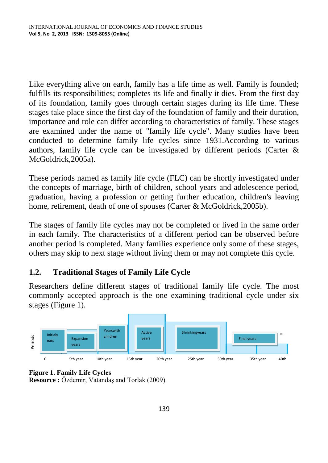Like everything alive on earth, family has a life time as well. Family is founded; fulfills its responsibilities; completes its life and finally it dies. From the first day of its foundation, family goes through certain stages during its life time. These stages take place since the first day of the foundation of family and their duration, importance and role can differ according to characteristics of family. These stages are examined under the name of "family life cycle". Many studies have been conducted to determine family life cycles since 1931.According to various authors, family life cycle can be investigated by different periods (Carter & McGoldrick,2005a).

These periods named as family life cycle (FLC) can be shortly investigated under the concepts of marriage, birth of children, school years and adolescence period, graduation, having a profession or getting further education, children's leaving home, retirement, death of one of spouses (Carter & McGoldrick, 2005b).

The stages of family life cycles may not be completed or lived in the same order in each family. The characteristics of a different period can be observed before another period is completed. Many families experience only some of these stages, others may skip to next stage without living them or may not complete this cycle.

# **1.2. Traditional Stages of Family Life Cycle**

Researchers define different stages of traditional family life cycle. The most commonly accepted approach is the one examining traditional cycle under six stages (Figure 1).



**Figure 1. Family Life Cycles**

**Resource :** Özdemir, Vatandaş and Torlak (2009).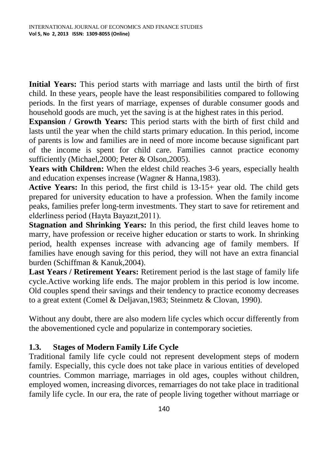**Initial Years:** This period starts with marriage and lasts until the birth of first child. In these years, people have the least responsibilities compared to following periods. In the first years of marriage, expenses of durable consumer goods and household goods are much, yet the saving is at the highest rates in this period.

**Expansion / Growth Years:** This period starts with the birth of first child and lasts until the year when the child starts primary education. In this period, income of parents is low and families are in need of more income because significant part of the income is spent for child care. Families cannot practice economy sufficiently (Michael,2000; Peter & Olson,2005).

**Years with Children:** When the eldest child reaches 3-6 years, especially health and education expenses increase (Wagner & Hanna,1983).

**Active Years:** In this period, the first child is 13-15+ year old. The child gets prepared for university education to have a profession. When the family income peaks, families prefer long-term investments. They start to save for retirement and elderliness period (Hayta Bayazıt,2011).

**Stagnation and Shrinking Years:** In this period, the first child leaves home to marry, have profession or receive higher education or starts to work. In shrinking period, health expenses increase with advancing age of family members. If families have enough saving for this period, they will not have an extra financial burden (Schiffman & Kanuk,2004).

**Last Years / Retirement Years:** Retirement period is the last stage of family life cycle.Active working life ends. The major problem in this period is low income. Old couples spend their savings and their tendency to practice economy decreases to a great extent (Comel & Deljavan,1983; Steinmetz & Clovan, 1990).

Without any doubt, there are also modern life cycles which occur differently from the abovementioned cycle and popularize in contemporary societies.

## **1.3. Stages of Modern Family Life Cycle**

Traditional family life cycle could not represent development steps of modern family. Especially, this cycle does not take place in various entities of developed countries. Common marriage, marriages in old ages, couples without children, employed women, increasing divorces, remarriages do not take place in traditional family life cycle. In our era, the rate of people living together without marriage or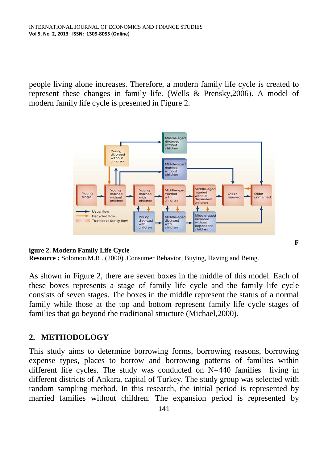people living alone increases. Therefore, a modern family life cycle is created to represent these changes in family life. (Wells & Prensky,2006). A model of modern family life cycle is presented in Figure 2.



**F**

#### **igure 2. Modern Family Life Cycle**

**Resource :** Solomon,M.R . (2000) .Consumer Behavior, Buying, Having and Being.

As shown in Figure 2, there are seven boxes in the middle of this model. Each of these boxes represents a stage of family life cycle and the family life cycle consists of seven stages. The boxes in the middle represent the status of a normal family while those at the top and bottom represent family life cycle stages of families that go beyond the traditional structure (Michael,2000).

#### **2. METHODOLOGY**

This study aims to determine borrowing forms, borrowing reasons, borrowing expense types, places to borrow and borrowing patterns of families within different life cycles. The study was conducted on N=440 families living in different districts of Ankara, capital of Turkey. The study group was selected with random sampling method. In this research, the initial period is represented by married families without children. The expansion period is represented by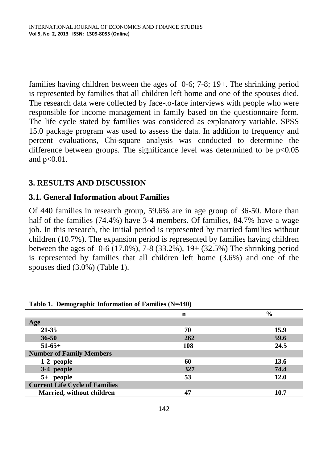families having children between the ages of 0-6; 7-8; 19+. The shrinking period is represented by families that all children left home and one of the spouses died. The research data were collected by face-to-face interviews with people who were responsible for income management in family based on the questionnaire form. The life cycle stated by families was considered as explanatory variable. SPSS 15.0 package program was used to assess the data. In addition to frequency and percent evaluations, Chi-square analysis was conducted to determine the difference between groups. The significance level was determined to be  $p<0.05$ and  $p<0.01$ .

## **3. RESULTS AND DISCUSSION**

## **3.1. General Information about Families**

Of 440 families in research group, 59.6% are in age group of 36-50. More than half of the families (74.4%) have 3-4 members. Of families, 84.7% have a wage job. In this research, the initial period is represented by married families without children (10.7%). The expansion period is represented by families having children between the ages of 0-6 (17.0%), 7-8 (33.2%), 19+ (32.5%) The shrinking period is represented by families that all children left home (3.6%) and one of the spouses died (3.0%) (Table 1).

|                                       | n   | $\frac{0}{0}$ |
|---------------------------------------|-----|---------------|
| Age                                   |     |               |
| 21-35                                 | 70  | 15.9          |
| $36 - 50$                             | 262 | 59.6          |
| $51-65+$                              | 108 | 24.5          |
| <b>Number of Family Members</b>       |     |               |
| 1-2 people                            | 60  | 13.6          |
| 3-4 people                            | 327 | 74.4          |
| 5+ people                             | 53  | 12.0          |
| <b>Current Life Cycle of Families</b> |     |               |
| Married, without children             | 47  | 10.7          |

**Tablo 1. Demographic Information of Families (N=440)**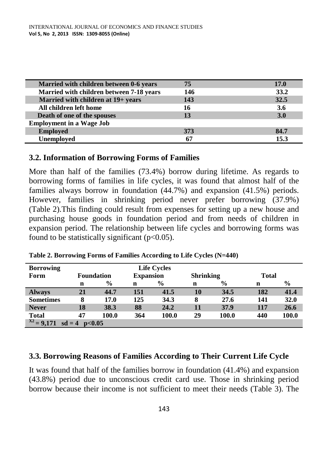| Married with children between 0-6 years  | 75  | 17.0 |
|------------------------------------------|-----|------|
| Married with children between 7-18 years | 146 | 33.2 |
| Married with children at 19+ years       | 143 | 32.5 |
| All children left home                   | 16  | 3.6  |
| Death of one of the spouses              | 13  | 3.0  |
| <b>Employment in a Wage Job</b>          |     |      |
| <b>Employed</b>                          | 373 | 84.7 |
| Unemployed                               | 67  | 15.3 |

#### **3.2. Information of Borrowing Forms of Families**

More than half of the families (73.4%) borrow during lifetime. As regards to borrowing forms of families in life cycles, it was found that almost half of the families always borrow in foundation (44.7%) and expansion (41.5%) periods. However, families in shrinking period never prefer borrowing (37.9%) (Table 2).This finding could result from expenses for setting up a new house and purchasing house goods in foundation period and from needs of children in expansion period. The relationship between life cycles and borrowing forms was found to be statistically significant  $(p<0.05)$ .

| <b>Borrowing</b>                      |    | <b>Life Cycles</b> |             |                  |    |                  |     |               |  |  |
|---------------------------------------|----|--------------------|-------------|------------------|----|------------------|-----|---------------|--|--|
| Form                                  |    | <b>Foundation</b>  |             | <b>Expansion</b> |    | <b>Shrinking</b> |     | <b>Total</b>  |  |  |
|                                       | n  | $\frac{6}{9}$      | $\mathbf n$ | $\frac{6}{9}$    | n  | $\frac{0}{0}$    | n   | $\frac{0}{0}$ |  |  |
| <b>Always</b>                         | 21 | 44.7               | 151         | 41.5             | 10 | 34.5             | 182 | 41.4          |  |  |
| <b>Sometimes</b>                      | 8  | 17.0               | 125         | 34.3             | 8  | 27.6             | 141 | 32.0          |  |  |
| <b>Never</b>                          | 18 | 38.3               | 88          | 24.2             | 11 | 37.9             | 117 | 26.6          |  |  |
| <b>Total</b>                          | 47 | 100.0              | 364         | 100.0            | 29 | 100.0            | 440 | 100.0         |  |  |
| $X^2 = 9,171$<br>sd<br>$=4$<br>p<0.05 |    |                    |             |                  |    |                  |     |               |  |  |

**Table 2. Borrowing Forms of Families According to Life Cycles (N=440)**

#### **3.3. Borrowing Reasons of Families According to Their Current Life Cycle**

It was found that half of the families borrow in foundation (41.4%) and expansion (43.8%) period due to unconscious credit card use. Those in shrinking period borrow because their income is not sufficient to meet their needs (Table 3). The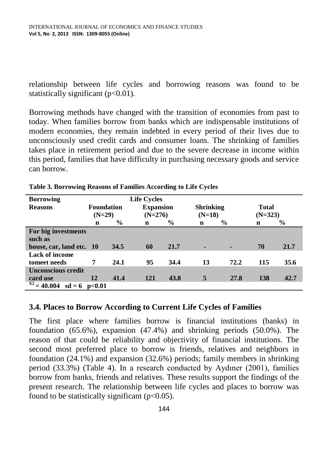relationship between life cycles and borrowing reasons was found to be statistically significant  $(p<0.01)$ .

Borrowing methods have changed with the transition of economies from past to today. When families borrow from banks which are indispensable institutions of modern economies, they remain indebted in every period of their lives due to unconsciously used credit cards and consumer loans. The shrinking of families takes place in retirement period and due to the severe decrease in income within this period, families that have difficulty in purchasing necessary goods and service can borrow.

| <b>Borrowing</b>                    |                   |               | <b>Life Cycles</b> |               |                  |               |              |               |
|-------------------------------------|-------------------|---------------|--------------------|---------------|------------------|---------------|--------------|---------------|
| <b>Reasons</b>                      | <b>Foundation</b> |               | <b>Expansion</b>   |               | <b>Shrinking</b> |               | <b>Total</b> |               |
|                                     | $(N=29)$          |               | $(N=276)$          |               | $(N=18)$         |               | $(N=323)$    |               |
|                                     | n                 | $\frac{6}{9}$ | n                  | $\frac{6}{9}$ | n                | $\frac{0}{0}$ | $\mathbf n$  | $\frac{6}{9}$ |
| For big investments                 |                   |               |                    |               |                  |               |              |               |
| such as                             |                   |               |                    |               |                  |               |              |               |
| house, car, land etc. 10            |                   | 34.5          | 60                 | 21.7          | -                | -             | 70           | 21.7          |
| Lack of income                      |                   |               |                    |               |                  |               |              |               |
| tomeet needs                        | 7                 | 24.1          | 95                 | 34.4          | 13               | 72.2          | 115          | 35.6          |
| <b>Unconscious credit</b>           |                   |               |                    |               |                  |               |              |               |
| card use                            | 12                | 41.4          | <b>121</b>         | 43.8          | 5                | 27.8          | 138          | 42.7          |
| X2<br>$= 40.004$<br>$sd = 6$ p<0.01 |                   |               |                    |               |                  |               |              |               |

**Table 3. Borrowing Reasons of Families According to Life Cycles**

## **3.4. Places to Borrow According to Current Life Cycles of Families**

The first place where families borrow is financial institutions (banks) in foundation (65.6%), expansion (47.4%) and shrinking periods (50.0%). The reason of that could be reliability and objectivity of financial institutions. The second most preferred place to borrow is friends, relatives and neighbors in foundation (24.1%) and expansion (32.6%) periods; family members in shrinking period (33.3%) (Table 4). In a research conducted by Aydıner (2001), families borrow from banks, friends and relatives. These results support the findings of the present research. The relationship between life cycles and places to borrow was found to be statistically significant  $(p<0.05)$ .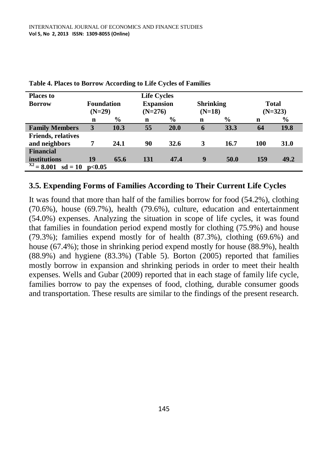| <b>Places to</b>                    |          |                   | <b>Life Cycles</b> |                  |   |                  |           |               |  |
|-------------------------------------|----------|-------------------|--------------------|------------------|---|------------------|-----------|---------------|--|
| <b>Borrow</b>                       |          | <b>Foundation</b> |                    | <b>Expansion</b> |   | <b>Shrinking</b> |           | <b>Total</b>  |  |
|                                     | $(N=29)$ |                   |                    | $(N=276)$        |   | $(N=18)$         | $(N=323)$ |               |  |
|                                     | n        | $\frac{0}{0}$     | n                  | $\frac{6}{9}$    | n | $\%$             | n         | $\frac{0}{0}$ |  |
| <b>Family Members</b>               | 3        | 10.3              | 55                 | 20.0             | 6 | 33.3             | 64        | 19.8          |  |
| <b>Friends, relatives</b>           |          |                   |                    |                  |   |                  |           |               |  |
| and neighbors                       | 7        | 24.1              | 90                 | 32.6             | 3 | 16.7             | 100       | <b>31.0</b>   |  |
| <b>Financial</b>                    |          |                   |                    |                  |   |                  |           |               |  |
| institutions                        | 19       | 65.6              | 131                | 47.4             | 9 | 50.0             | 159       | 49.2          |  |
| <b>X2</b><br>$= 8.001$<br>$sd = 10$ | p<0.05   |                   |                    |                  |   |                  |           |               |  |

**Table 4. Places to Borrow According to Life Cycles of Families**

#### **3.5. Expending Forms of Families According to Their Current Life Cycles**

It was found that more than half of the families borrow for food (54.2%), clothing (70.6%), house (69.7%), health (79.6%), culture, education and entertainment (54.0%) expenses. Analyzing the situation in scope of life cycles, it was found that families in foundation period expend mostly for clothing (75.9%) and house (79.3%); families expend mostly for of health (87.3%), clothing (69.6%) and house (67.4%); those in shrinking period expend mostly for house (88.9%), health (88.9%) and hygiene (83.3%) (Table 5). Borton (2005) reported that families mostly borrow in expansion and shrinking periods in order to meet their health expenses. Wells and Gubar (2009) reported that in each stage of family life cycle, families borrow to pay the expenses of food, clothing, durable consumer goods and transportation. These results are similar to the findings of the present research.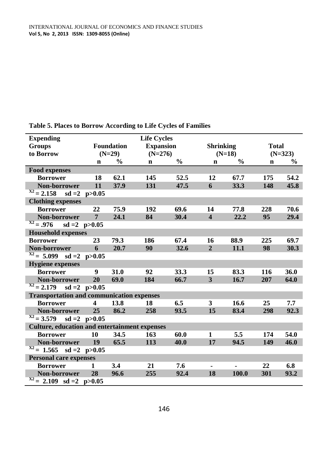| <b>Expending</b>                                     |                   |                   | <b>Life Cycles</b> |               |                         |               |              |               |
|------------------------------------------------------|-------------------|-------------------|--------------------|---------------|-------------------------|---------------|--------------|---------------|
| <b>Groups</b>                                        |                   | <b>Foundation</b> | <b>Expansion</b>   |               | <b>Shrinking</b>        |               | <b>Total</b> |               |
| to Borrow                                            |                   | $(N=29)$          | $(N=276)$          |               |                         | $(N=18)$      | $(N=323)$    |               |
|                                                      | $\mathbf n$       | $\frac{6}{9}$     | $\mathbf n$        | $\frac{0}{0}$ | $\mathbf n$             | $\frac{0}{0}$ | $\mathbf n$  | $\frac{6}{9}$ |
| <b>Food expenses</b>                                 |                   |                   |                    |               |                         |               |              |               |
| <b>Borrower</b>                                      | 18                | 62.1              | 145                | 52.5          | 12                      | 67.7          | 175          | 54.2          |
| Non-borrower                                         | 11                | 37.9              | 131                | 47.5          | 6                       | 33.3          | 148          | 45.8          |
| $X^2 = 2.158$<br>$sd = 2$                            | p > 0.05          |                   |                    |               |                         |               |              |               |
| <b>Clothing expenses</b>                             |                   |                   |                    |               |                         |               |              |               |
| <b>Borrower</b>                                      | 22                | 75.9              | 192                | 69.6          | 14                      | 77.8          | 228          | 70.6          |
| Non-borrower                                         | $\overline{7}$    | 24.1              | 84                 | 30.4          | $\overline{\mathbf{4}}$ | 22.2          | 95           | 29.4          |
| $\overline{x^2} = .976$                              | $sd = 2 p>0.05$   |                   |                    |               |                         |               |              |               |
| <b>Household expenses</b>                            |                   |                   |                    |               |                         |               |              |               |
| <b>Borrower</b>                                      | 23                | 79.3              | 186                | 67.4          | 16                      | 88.9          | 225          | 69.7          |
| Non-borrower                                         | 6                 | 20.7              | 90                 | 32.6          | $\overline{2}$          | 11.1          | 98           | 30.3          |
| $\overline{x^2} = 5.099$                             | $sd = 2 p>0.05$   |                   |                    |               |                         |               |              |               |
| <b>Hygiene</b> expenses                              |                   |                   |                    |               |                         |               |              |               |
| <b>Borrower</b>                                      | 9                 | 31.0              | 92                 | 33.3          | 15                      | 83.3          | 116          | 36.0          |
| Non-borrower                                         | 20                | 69.0              | 184                | 66.7          | $\mathbf{3}$            | 16.7          | 207          | 64.0          |
| $X^2 = 2.179$                                        | $sd = 2 p > 0.05$ |                   |                    |               |                         |               |              |               |
| <b>Transportation and communication expenses</b>     |                   |                   |                    |               |                         |               |              |               |
| <b>Borrower</b>                                      | 4                 | 13.8              | 18                 | 6.5           | 3                       | 16.6          | 25           | 7.7           |
| Non-borrower                                         | 25                | 86.2              | 258                | 93.5          | 15                      | 83.4          | 298          | 92.3          |
| $\overline{x^2} = 3.579$                             | $sd = 2 p > 0.05$ |                   |                    |               |                         |               |              |               |
| <b>Culture, education and entertainment expenses</b> |                   |                   |                    |               |                         |               |              |               |
| <b>Borrower</b>                                      | 10                | 34.5              | 163                | 60.0          | 1                       | 5.5           | 174          | 54.0          |
| Non-borrower                                         | <b>19</b>         | 65.5              | 113                | 40.0          | 17                      | 94.5          | 149          | 46.0          |
| $\overline{x^2} = 1.565$                             | $sd = 2 p > 0.05$ |                   |                    |               |                         |               |              |               |
| <b>Personal care expenses</b>                        |                   |                   |                    |               |                         |               |              |               |
| <b>Borrower</b>                                      | 1                 | 3.4               | 21                 | 7.6           |                         |               | 22           | 6.8           |
| Non-borrower                                         | 28                | 96.6              | 255                | 92.4          | 18                      | 100.0         | 301          | 93.2          |
| $\overline{x^2} = 2.109$ sd =2 p>0.05                |                   |                   |                    |               |                         |               |              |               |

**Table 5. Places to Borrow According to Life Cycles of Families**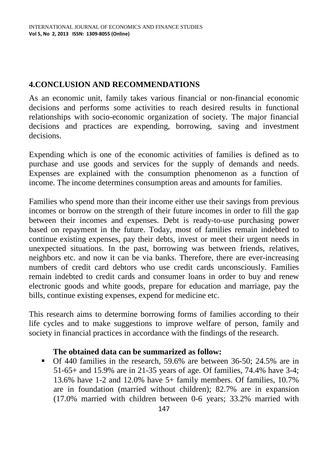# **4.CONCLUSION AND RECOMMENDATIONS**

As an economic unit, family takes various financial or non-financial economic decisions and performs some activities to reach desired results in functional relationships with socio-economic organization of society. The major financial decisions and practices are expending, borrowing, saving and investment decisions.

Expending which is one of the economic activities of families is defined as to purchase and use goods and services for the supply of demands and needs. Expenses are explained with the consumption phenomenon as a function of income. The income determines consumption areas and amounts for families.

Families who spend more than their income either use their savings from previous incomes or borrow on the strength of their future incomes in order to fill the gap between their incomes and expenses. Debt is ready-to-use purchasing power based on repayment in the future. Today, most of families remain indebted to continue existing expenses, pay their debts, invest or meet their urgent needs in unexpected situations. In the past, borrowing was between friends, relatives, neighbors etc. and now it can be via banks. Therefore, there are ever-increasing numbers of credit card debtors who use credit cards unconsciously. Families remain indebted to credit cards and consumer loans in order to buy and renew electronic goods and white goods, prepare for education and marriage, pay the bills, continue existing expenses, expend for medicine etc.

This research aims to determine borrowing forms of families according to their life cycles and to make suggestions to improve welfare of person, family and society in financial practices in accordance with the findings of the research.

## **The obtained data can be summarized as follow:**

Of 440 families in the research, 59.6% are between 36-50; 24.5% are in 51-65+ and 15.9% are in 21-35 years of age. Of families, 74.4% have 3-4; 13.6% have 1-2 and 12.0% have 5+ family members. Of families, 10.7% are in foundation (married without children); 82.7% are in expansion (17.0% married with children between 0-6 years; 33.2% married with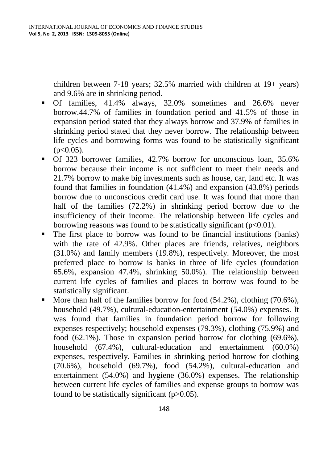children between 7-18 years; 32.5% married with children at 19+ years) and 9.6% are in shrinking period.

- Of families, 41.4% always, 32.0% sometimes and 26.6% never borrow.44.7% of families in foundation period and 41.5% of those in expansion period stated that they always borrow and 37.9% of families in shrinking period stated that they never borrow. The relationship between life cycles and borrowing forms was found to be statistically significant  $(p<0.05)$ .
- Of 323 borrower families, 42.7% borrow for unconscious loan, 35.6% borrow because their income is not sufficient to meet their needs and 21.7% borrow to make big investments such as house, car, land etc. It was found that families in foundation (41.4%) and expansion (43.8%) periods borrow due to unconscious credit card use. It was found that more than half of the families (72.2%) in shrinking period borrow due to the insufficiency of their income. The relationship between life cycles and borrowing reasons was found to be statistically significant  $(p<0.01)$ .
- The first place to borrow was found to be financial institutions (banks) with the rate of 42.9%. Other places are friends, relatives, neighbors (31.0%) and family members (19.8%), respectively. Moreover, the most preferred place to borrow is banks in three of life cycles (foundation 65.6%, expansion 47.4%, shrinking 50.0%). The relationship between current life cycles of families and places to borrow was found to be statistically significant.
- $\blacksquare$  More than half of the families borrow for food (54.2%), clothing (70.6%), household (49.7%), cultural-education-entertainment (54.0%) expenses. It was found that families in foundation period borrow for following expenses respectively; household expenses (79.3%), clothing (75.9%) and food (62.1%). Those in expansion period borrow for clothing (69.6%), household (67.4%), cultural-education and entertainment (60.0%) expenses, respectively. Families in shrinking period borrow for clothing  $(70.6\%)$ , household  $(69.7\%)$ , food  $(54.2\%)$ , cultural-education and entertainment (54.0%) and hygiene (36.0%) expenses. The relationship between current life cycles of families and expense groups to borrow was found to be statistically significant  $(p>0.05)$ .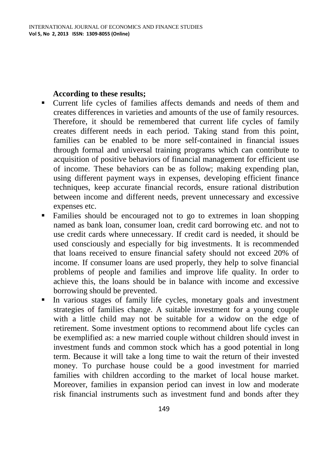#### **According to these results;**

- Current life cycles of families affects demands and needs of them and creates differences in varieties and amounts of the use of family resources. Therefore, it should be remembered that current life cycles of family creates different needs in each period. Taking stand from this point, families can be enabled to be more self-contained in financial issues through formal and universal training programs which can contribute to acquisition of positive behaviors of financial management for efficient use of income. These behaviors can be as follow; making expending plan, using different payment ways in expenses, developing efficient finance techniques, keep accurate financial records, ensure rational distribution between income and different needs, prevent unnecessary and excessive expenses etc.
- Families should be encouraged not to go to extremes in loan shopping named as bank loan, consumer loan, credit card borrowing etc. and not to use credit cards where unnecessary. If credit card is needed, it should be used consciously and especially for big investments. It is recommended that loans received to ensure financial safety should not exceed 20% of income. If consumer loans are used properly, they help to solve financial problems of people and families and improve life quality. In order to achieve this, the loans should be in balance with income and excessive borrowing should be prevented.
- In various stages of family life cycles, monetary goals and investment strategies of families change. A suitable investment for a young couple with a little child may not be suitable for a widow on the edge of retirement. Some investment options to recommend about life cycles can be exemplified as: a new married couple without children should invest in investment funds and common stock which has a good potential in long term. Because it will take a long time to wait the return of their invested money. To purchase house could be a good investment for married families with children according to the market of local house market. Moreover, families in expansion period can invest in low and moderate risk financial instruments such as investment fund and bonds after they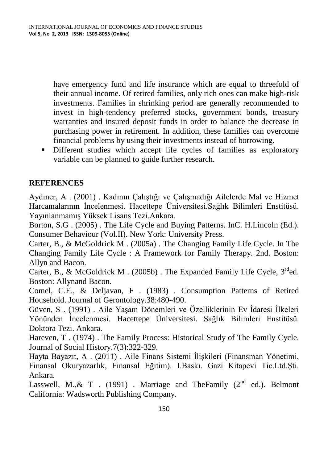have emergency fund and life insurance which are equal to threefold of their annual income. Of retired families, only rich ones can make high-risk investments. Families in shrinking period are generally recommended to invest in high-tendency preferred stocks, government bonds, treasury warranties and insured deposit funds in order to balance the decrease in purchasing power in retirement. In addition, these families can overcome financial problems by using their investments instead of borrowing.

Different studies which accept life cycles of families as exploratory variable can be planned to guide further research.

## **REFERENCES**

Aydıner, A . (2001) . Kadının Çalıştığı ve Çalışmadığı Ailelerde Mal ve Hizmet Harcamalarının İncelenmesi. Hacettepe Üniversitesi.Sağlık Bilimleri Enstitüsü. Yayınlanmamış Yüksek Lisans Tezi.Ankara.

Borton, S.G . (2005) . The Life Cycle and Buying Patterns. InC. H.Lincoln (Ed.). Consumer Behaviour (Vol.II). New York: University Press.

Carter, B., & McGoldrick M . (2005a) . The Changing Family Life Cycle. In The Changing Family Life Cycle : A Framework for Family Therapy. 2nd. Boston: Allyn and Bacon.

Carter, B., & McGoldrick M. (2005b). The Expanded Family Life Cycle,  $3^{rd}$ ed. Boston: Allynand Bacon.

Comel, C.E., & Deljavan, F . (1983) . Consumption Patterns of Retired Household. Journal of Gerontology.38:480-490.

Güven, S . (1991) . Aile Yaşam Dönemleri ve Özelliklerinin Ev İdaresi İlkeleri Yönünden İncelenmesi. Hacettepe Üniversitesi. Sağlık Bilimleri Enstitüsü. Doktora Tezi. Ankara.

Hareven, T . (1974) . The Family Process: Historical Study of The Family Cycle. Journal of Social History.7(3):322-329.

Hayta Bayazıt, A . (2011) . Aile Finans Sistemi İlişkileri (Finansman Yönetimi, Finansal Okuryazarlık, Finansal Eğitim). I.Baskı. Gazi Kitapevi Tic.Ltd.Şti. Ankara.

Lasswell, M., & T . (1991) . Marriage and TheFamily ( $2<sup>nd</sup>$  ed.). Belmont California: Wadsworth Publishing Company.